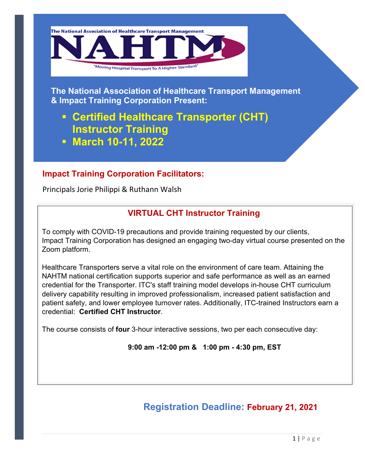

**The National Association of Healthcare Transport Management & Impact Training Corporation Present:** 

# **ƒ Certified Healthcare Transporter (CHT) Instructor Training ƒ June 23-24, 2022**

#### **Impact Training Corporation Facilitators:**

Principals Jorie Philippi & Ruthann Walsh

## **VIRTUAL CHT Instructor Training**

To comply with COVID-19 precautions and provide training requested by our clients, Impact Training Corporation has designed an engaging two-day virtual course presented on the Zoom platform.

Healthcare Transporters serve a vital role on the environment of care team. Attaining the NAHTM national certification supports superior and safe performance as well as an earned credential for the Transporter. ITC's staff training model develops in-house CHT curriculum delivery capability resulting in improved professionalism, increased patient satisfaction and patient safety, and lower employee turnover rates. Additionally, ITC-trained Instructors earn a credential: **Certified CHT Instructor**.

The course consists of **four** 3- to 31/2- hour interactive sessions, two per each consecutive day:

**9:00 am -12:00 pm & 1:00 pm - 4:30 pm, EST** 

# **Registration Deadline: June 10, 2022**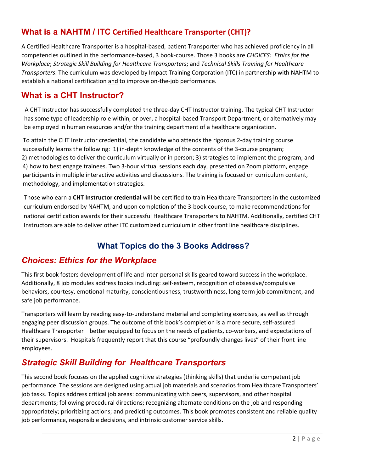#### **What is a NAHTM / ITC Certified Healthcare Transporter (CHT)?**

A Certified Healthcare Transporter is a hospital-based, patient Transporter who has achieved proficiency in all competencies outlined in the performance-based, 3 book-course. Those 3 books are *CHOICES: Ethics for the Workplace*; *Strategic Skill Building for Healthcare Transporters*; and *Technical Skills Training for Healthcare Transporters*. The curriculum was developed by Impact Training Corporation (ITC) in partnership with NAHTM to establish a national certification and to improve on-the-job performance.

#### **What is a CHT Instructor?**

 A CHT Instructor has successfully completed the three-day CHT Instructor training. The typical CHT Instructor has some type of leadership role within, or over, a hospital-based Transport Department, or alternatively may be employed in human resources and/or the training department of a healthcare organization.

To attain the CHT Instructor credential, the candidate who attends the rigorous 2-day training course successfully learns the following: 1) in-depth knowledge of the contents of the 3-course program; 2) methodologies to deliver the curriculum virtually or in person; 3) strategies to implement the program; and 4) how to best engage trainees. Two 3-hour virtual sessions each day, presented on Zoom platform, engage participants in multiple interactive activities and discussions. The training is focused on curriculum content, methodology, and implementation strategies.

Those who earn a **CHT Instructor credential** will be certified to train Healthcare Transporters in the customized curriculum endorsed by NAHTM, and upon completion of the 3-book course, to make recommendations for national certification awards for their successful Healthcare Transporters to NAHTM. Additionally, certified CHT Instructors are able to deliver other ITC customized curriculum in other front line healthcare disciplines.

## **What Topics do the 3 Books Address?**

#### *Choices: Ethics for the Workplace*

This first book fosters development of life and inter-personal skills geared toward success in the workplace. Additionally, 8 job modules address topics including: self-esteem, recognition of obsessive/compulsive behaviors, courtesy, emotional maturity, conscientiousness, trustworthiness, long term job commitment, and safe job performance.

Transporters will learn by reading easy-to-understand material and completing exercises, as well as through engaging peer discussion groups. The outcome of this book's completion is a more secure, self-assured Healthcare Transporter—better equipped to focus on the needs of patients, co-workers, and expectations of their supervisors. Hospitals frequently report that this course "profoundly changes lives" of their front line employees.

## *Strategic Skill Building for Healthcare Transporters*

This second book focuses on the applied cognitive strategies (thinking skills) that underlie competent job performance. The sessions are designed using actual job materials and scenarios from Healthcare Transporters' job tasks. Topics address critical job areas: communicating with peers, supervisors, and other hospital departments; following procedural directions; recognizing alternate conditions on the job and responding appropriately; prioritizing actions; and predicting outcomes. This book promotes consistent and reliable quality job performance, responsible decisions, and intrinsic customer service skills. An instrument for measuring changes in job performance is included.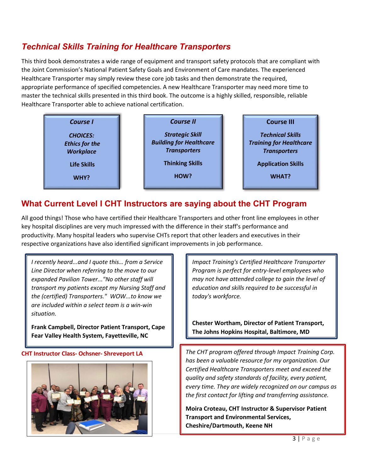## *Technical Skills Training for Healthcare Transporters*

This third book demonstrates a wide range of equipment and transport safety protocols that are compliant with the Joint Commission's National Patient Safety Goals and Environment of Care mandates. The experienced Healthcare Transporter may simply review these core job tasks and then demonstrate the required, appropriate performance of specified competencies. A new Healthcare Transporter may need more time to master the technical skills presented in this third book. The outcome is a highly skilled, responsible, reliable Healthcare Transporter able to achieve national certification.

| Course I                                                     | <b>Course II</b>                                                                | <b>Course III</b>                                                                |
|--------------------------------------------------------------|---------------------------------------------------------------------------------|----------------------------------------------------------------------------------|
| <b>CHOICES:</b><br><b>Ethics for the</b><br><b>Workplace</b> | <b>Strategic Skill</b><br><b>Building for Healthcare</b><br><b>Transporters</b> | <b>Technical Skills</b><br><b>Training for Healthcare</b><br><b>Transporters</b> |
| Life Skills<br>WHY?                                          | <b>Thinking Skills</b><br>HOW?                                                  | <b>Application Skills</b><br><b>WHAT?</b>                                        |

#### **What Current Level I CHT Instructors are saying about the CHT Program**

All good things! Those who have certified their Healthcare Transporters and other front line employees in other key hospital disciplines are very much impressed with the difference in their staff's performance and productivity. Many hospital leaders who supervise CHTs report that other leaders and executives in their respective organizations have also identified significant improvements in job performance.

*Our Director of Operational & Creative Development went through your training program. She said it was "one of the most informational, organized, and well thought out training programs she has ever attended"!! Just wanted to pass along the word that you all are doing some GREAT things so keep doing what you do!!*

**Glen Chenot, National Sales Director, TPM Research**

#### **CHT Instructor Class- Ochsner- Shreveport LA**



*Impact Training's Certified Healthcare Transporter Program is perfect for entry-level employees who may not have attended college to gain the level of education and skills required to be successful in today's workforce.* 

**Chester Wortham, Director of Patient Transport, The Johns Hopkins Hospital, Baltimore, MD** 

*The CHT program offered through Impact Training Corp. has been a valuable resource for my organization. Our Certified Healthcare Transporters meet and exceed the quality and safety standards of facility, every patient, every time. They are widely recognized on our campus as the first contact for lifting and transferring assistance.* 

**Moira Croteau, CHT Instructor & Supervisor Patient Transport and Environmental Services, Cheshire/Dartmouth, Keene NH**